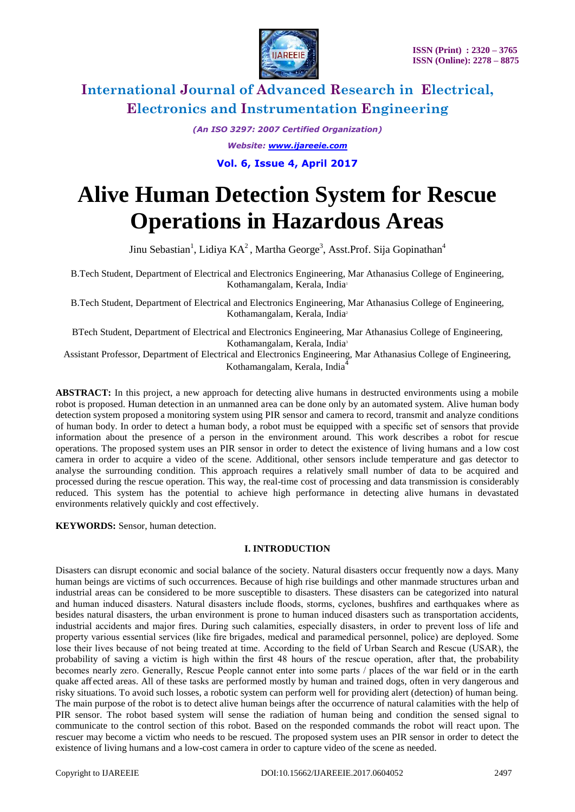

*(An ISO 3297: 2007 Certified Organization)*

*Website: [www.ijareeie.com](http://www.ijareeie.com/)*

**Vol. 6, Issue 4, April 2017**

# **Alive Human Detection System for Rescue Operations in Hazardous Areas**

Jinu Sebastian<sup>1</sup>, Lidiya KA<sup>2</sup>, Martha George<sup>3</sup>, Asst.Prof. Sija Gopinathan<sup>4</sup>

B.Tech Student, Department of Electrical and Electronics Engineering, Mar Athanasius College of Engineering, Kothamangalam, Kerala, India<sup>1</sup>

B.Tech Student, Department of Electrical and Electronics Engineering, Mar Athanasius College of Engineering, Kothamangalam, Kerala, India<sup>2</sup>

BTech Student, Department of Electrical and Electronics Engineering, Mar Athanasius College of Engineering, Kothamangalam, Kerala, India<sup>3</sup>

Assistant Professor, Department of Electrical and Electronics Engineering, Mar Athanasius College of Engineering, Kothamangalam, Kerala, India<sup>4</sup>

**ABSTRACT:** In this project, a new approach for detecting alive humans in destructed environments using a mobile robot is proposed. Human detection in an unmanned area can be done only by an automated system. Alive human body detection system proposed a monitoring system using PIR sensor and camera to record, transmit and analyze conditions of human body. In order to detect a human body, a robot must be equipped with a specific set of sensors that provide information about the presence of a person in the environment around. This work describes a robot for rescue operations. The proposed system uses an PIR sensor in order to detect the existence of living humans and a low cost camera in order to acquire a video of the scene. Additional, other sensors include temperature and gas detector to analyse the surrounding condition. This approach requires a relatively small number of data to be acquired and processed during the rescue operation. This way, the real-time cost of processing and data transmission is considerably reduced. This system has the potential to achieve high performance in detecting alive humans in devastated environments relatively quickly and cost effectively.

**KEYWORDS:** Sensor, human detection.

### **I. INTRODUCTION**

Disasters can disrupt economic and social balance of the society. Natural disasters occur frequently now a days. Many human beings are victims of such occurrences. Because of high rise buildings and other manmade structures urban and industrial areas can be considered to be more susceptible to disasters. These disasters can be categorized into natural and human induced disasters. Natural disasters include floods, storms, cyclones, bushfires and earthquakes where as besides natural disasters, the urban environment is prone to human induced disasters such as transportation accidents, industrial accidents and major fires. During such calamities, especially disasters, in order to prevent loss of life and property various essential services (like fire brigades, medical and paramedical personnel, police) are deployed. Some lose their lives because of not being treated at time. According to the field of Urban Search and Rescue (USAR), the probability of saving a victim is high within the first 48 hours of the rescue operation, after that, the probability becomes nearly zero. Generally, Rescue People cannot enter into some parts / places of the war field or in the earth quake affected areas. All of these tasks are performed mostly by human and trained dogs, often in very dangerous and risky situations. To avoid such losses, a robotic system can perform well for providing alert (detection) of human being. The main purpose of the robot is to detect alive human beings after the occurrence of natural calamities with the help of PIR sensor. The robot based system will sense the radiation of human being and condition the sensed signal to communicate to the control section of this robot. Based on the responded commands the robot will react upon. The rescuer may become a victim who needs to be rescued. The proposed system uses an PIR sensor in order to detect the existence of living humans and a low-cost camera in order to capture video of the scene as needed.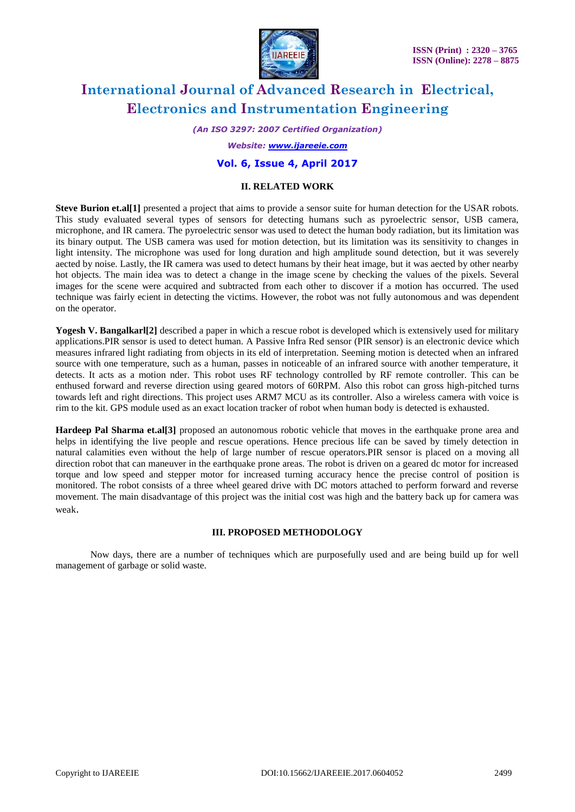

*(An ISO 3297: 2007 Certified Organization)*

*Website: [www.ijareeie.com](http://www.ijareeie.com/)*

### **Vol. 6, Issue 4, April 2017**

#### **II. RELATED WORK**

**Steve Burion et.al[1]** presented a project that aims to provide a sensor suite for human detection for the USAR robots. This study evaluated several types of sensors for detecting humans such as pyroelectric sensor, USB camera, microphone, and IR camera. The pyroelectric sensor was used to detect the human body radiation, but its limitation was its binary output. The USB camera was used for motion detection, but its limitation was its sensitivity to changes in light intensity. The microphone was used for long duration and high amplitude sound detection, but it was severely aected by noise. Lastly, the IR camera was used to detect humans by their heat image, but it was aected by other nearby hot objects. The main idea was to detect a change in the image scene by checking the values of the pixels. Several images for the scene were acquired and subtracted from each other to discover if a motion has occurred. The used technique was fairly ecient in detecting the victims. However, the robot was not fully autonomous and was dependent on the operator.

Yogesh V. Bangalkarl<sup>[2]</sup> described a paper in which a rescue robot is developed which is extensively used for military applications.PIR sensor is used to detect human. A Passive Infra Red sensor (PIR sensor) is an electronic device which measures infrared light radiating from objects in its eld of interpretation. Seeming motion is detected when an infrared source with one temperature, such as a human, passes in noticeable of an infrared source with another temperature, it detects. It acts as a motion nder. This robot uses RF technology controlled by RF remote controller. This can be enthused forward and reverse direction using geared motors of 60RPM. Also this robot can gross high-pitched turns towards left and right directions. This project uses ARM7 MCU as its controller. Also a wireless camera with voice is rim to the kit. GPS module used as an exact location tracker of robot when human body is detected is exhausted.

**Hardeep Pal Sharma et.al[3]** proposed an autonomous robotic vehicle that moves in the earthquake prone area and helps in identifying the live people and rescue operations. Hence precious life can be saved by timely detection in natural calamities even without the help of large number of rescue operators.PIR sensor is placed on a moving all direction robot that can maneuver in the earthquake prone areas. The robot is driven on a geared dc motor for increased torque and low speed and stepper motor for increased turning accuracy hence the precise control of position is monitored. The robot consists of a three wheel geared drive with DC motors attached to perform forward and reverse movement. The main disadvantage of this project was the initial cost was high and the battery back up for camera was weak.

### **III. PROPOSED METHODOLOGY**

Now days, there are a number of techniques which are purposefully used and are being build up for well management of garbage or solid waste.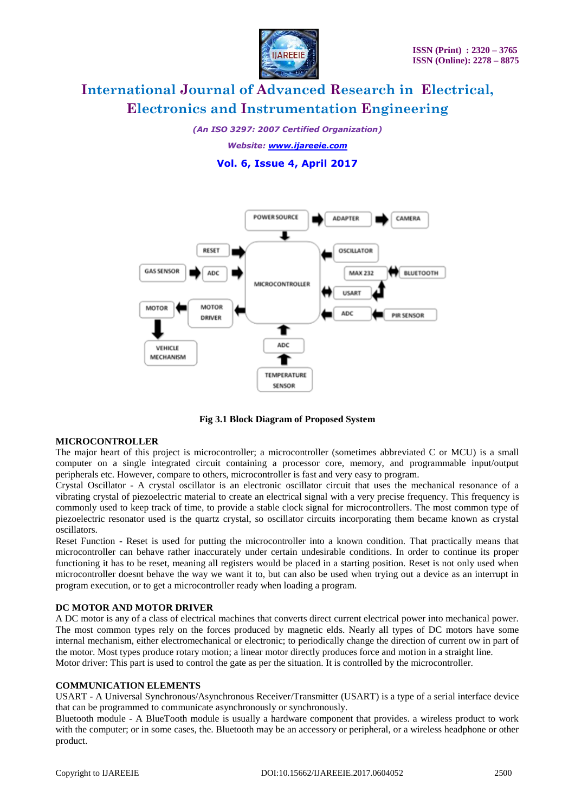

*(An ISO 3297: 2007 Certified Organization)*

*Website: [www.ijareeie.com](http://www.ijareeie.com/)*

**Vol. 6, Issue 4, April 2017**



**Fig 3.1 Block Diagram of Proposed System**

#### **MICROCONTROLLER**

The major heart of this project is microcontroller; a microcontroller (sometimes abbreviated C or MCU) is a small computer on a single integrated circuit containing a processor core, memory, and programmable input/output peripherals etc. However, compare to others, microcontroller is fast and very easy to program.

Crystal Oscillator - A crystal oscillator is an electronic oscillator circuit that uses the mechanical resonance of a vibrating crystal of piezoelectric material to create an electrical signal with a very precise frequency. This frequency is commonly used to keep track of time, to provide a stable clock signal for microcontrollers. The most common type of piezoelectric resonator used is the quartz crystal, so oscillator circuits incorporating them became known as crystal oscillators.

Reset Function - Reset is used for putting the microcontroller into a known condition. That practically means that microcontroller can behave rather inaccurately under certain undesirable conditions. In order to continue its proper functioning it has to be reset, meaning all registers would be placed in a starting position. Reset is not only used when microcontroller doesnt behave the way we want it to, but can also be used when trying out a device as an interrupt in program execution, or to get a microcontroller ready when loading a program.

### **DC MOTOR AND MOTOR DRIVER**

A DC motor is any of a class of electrical machines that converts direct current electrical power into mechanical power. The most common types rely on the forces produced by magnetic elds. Nearly all types of DC motors have some internal mechanism, either electromechanical or electronic; to periodically change the direction of current ow in part of the motor. Most types produce rotary motion; a linear motor directly produces force and motion in a straight line. Motor driver: This part is used to control the gate as per the situation. It is controlled by the microcontroller.

#### **COMMUNICATION ELEMENTS**

USART - A Universal Synchronous/Asynchronous Receiver/Transmitter (USART) is a type of a serial interface device that can be programmed to communicate asynchronously or synchronously.

Bluetooth module - A BlueTooth module is usually a hardware component that provides. a wireless product to work with the computer; or in some cases, the. Bluetooth may be an accessory or peripheral, or a wireless headphone or other product.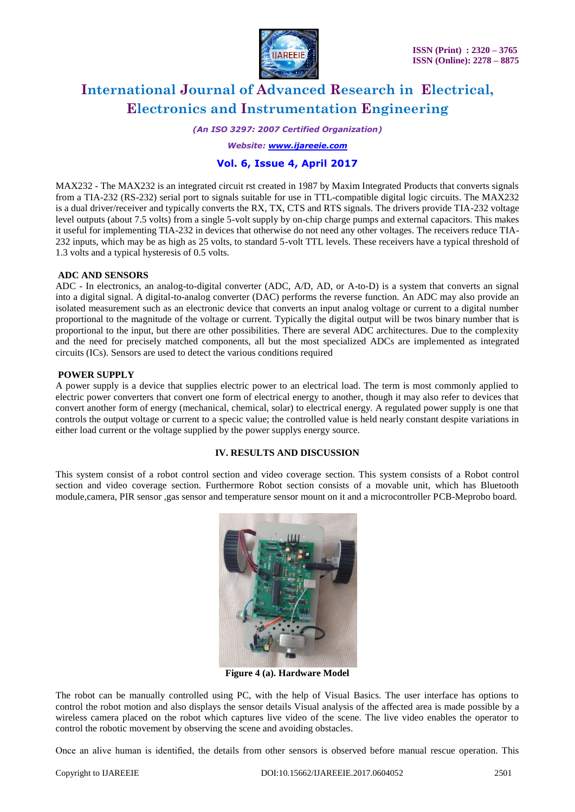

*(An ISO 3297: 2007 Certified Organization)*

*Website: [www.ijareeie.com](http://www.ijareeie.com/)*

### **Vol. 6, Issue 4, April 2017**

MAX232 - The MAX232 is an integrated circuit rst created in 1987 by Maxim Integrated Products that converts signals from a TIA-232 (RS-232) serial port to signals suitable for use in TTL-compatible digital logic circuits. The MAX232 is a dual driver/receiver and typically converts the RX, TX, CTS and RTS signals. The drivers provide TIA-232 voltage level outputs (about 7.5 volts) from a single 5-volt supply by on-chip charge pumps and external capacitors. This makes it useful for implementing TIA-232 in devices that otherwise do not need any other voltages. The receivers reduce TIA-232 inputs, which may be as high as 25 volts, to standard 5-volt TTL levels. These receivers have a typical threshold of 1.3 volts and a typical hysteresis of 0.5 volts.

### **ADC AND SENSORS**

ADC - In electronics, an analog-to-digital converter (ADC, A/D, AD, or A-to-D) is a system that converts an signal into a digital signal. A digital-to-analog converter (DAC) performs the reverse function. An ADC may also provide an isolated measurement such as an electronic device that converts an input analog voltage or current to a digital number proportional to the magnitude of the voltage or current. Typically the digital output will be twos binary number that is proportional to the input, but there are other possibilities. There are several ADC architectures. Due to the complexity and the need for precisely matched components, all but the most specialized ADCs are implemented as integrated circuits (ICs). Sensors are used to detect the various conditions required

### **POWER SUPPLY**

A power supply is a device that supplies electric power to an electrical load. The term is most commonly applied to electric power converters that convert one form of electrical energy to another, though it may also refer to devices that convert another form of energy (mechanical, chemical, solar) to electrical energy. A regulated power supply is one that controls the output voltage or current to a specic value; the controlled value is held nearly constant despite variations in either load current or the voltage supplied by the power supplys energy source.

### **IV. RESULTS AND DISCUSSION**

This system consist of a robot control section and video coverage section. This system consists of a Robot control section and video coverage section. Furthermore Robot section consists of a movable unit, which has Bluetooth module,camera, PIR sensor ,gas sensor and temperature sensor mount on it and a microcontroller PCB-Meprobo board.



**Figure 4 (a). Hardware Model**

The robot can be manually controlled using PC, with the help of Visual Basics. The user interface has options to control the robot motion and also displays the sensor details Visual analysis of the affected area is made possible by a wireless camera placed on the robot which captures live video of the scene. The live video enables the operator to control the robotic movement by observing the scene and avoiding obstacles.

Once an alive human is identified, the details from other sensors is observed before manual rescue operation. This